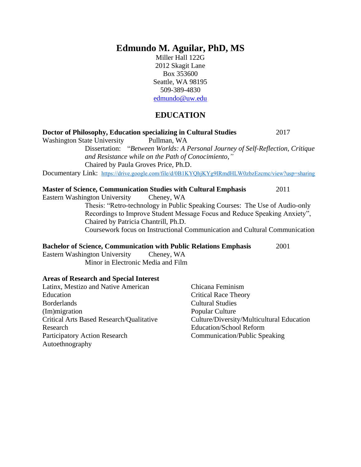# **Edmundo M. Aguilar, PhD, MS**

Miller Hall 122G 2012 Skagit Lane Box 353600 Seattle, WA 98195 509-389-4830 edmundo@uw.edu

#### **EDUCATION**

## **Doctor of Philosophy, Education specializing in Cultural Studies** 2017 Washington State University Pullman, WA Dissertation: "*Between Worlds: A Personal Journey of Self-Reflection, Critique and Resistance while on the Path of Conocimiento*,*"* Chaired by Paula Groves Price, Ph.D. Documentary Link: <https://drive.google.com/file/d/0B1KYQhjKYg9IRmdHLW0zbzEzcmc/view?usp=sharing> **Master of Science, Communication Studies with Cultural Emphasis** 2011 Eastern Washington University Cheney, WA Thesis: "Retro-technology in Public Speaking Courses: The Use of Audio-only Recordings to Improve Student Message Focus and Reduce Speaking Anxiety", Chaired by Patricia Chantrill, Ph.D. Coursework focus on Instructional Communication and Cultural Communication **Bachelor of Science, Communication with Public Relations Emphasis** 2001 Eastern Washington University Cheney, WA Minor in Electronic Media and Film **Areas of Research and Special Interest** Latinx, Mestizo and Native American Chicana Feminism Critical Race Theory

**Education** Borderlands (Im)migration Critical Arts Based Research/Qualitative Research Participatory Action Research Autoethnography

Cultural Studies Popular Culture Culture/Diversity/Multicultural Education Education/School Reform Communication/Public Speaking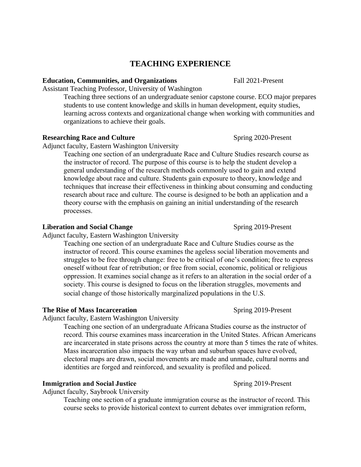## **TEACHING EXPERIENCE**

#### **Education, Communities, and Organizations Fall 2021-Present**

Assistant Teaching Professor, University of Washington

Teaching three sections of an undergraduate senior capstone course. ECO major prepares students to use content knowledge and skills in human development, equity studies, learning across contexts and organizational change when working with communities and organizations to achieve their goals.

#### **Researching Race and Culture** Spring 2020-Present

Adjunct faculty, Eastern Washington University

Teaching one section of an undergraduate Race and Culture Studies research course as the instructor of record. The purpose of this course is to help the student develop a general understanding of the research methods commonly used to gain and extend knowledge about race and culture. Students gain exposure to theory, knowledge and techniques that increase their effectiveness in thinking about consuming and conducting research about race and culture. The course is designed to be both an application and a theory course with the emphasis on gaining an initial understanding of the research processes.

#### **Liberation and Social Change** Spring 2019-Present

Adjunct faculty, Eastern Washington University

Teaching one section of an undergraduate Race and Culture Studies course as the instructor of record. This course examines the ageless social liberation movements and struggles to be free through change: free to be critical of one's condition; free to express oneself without fear of retribution; or free from social, economic, political or religious oppression. It examines social change as it refers to an alteration in the social order of a society. This course is designed to focus on the liberation struggles, movements and social change of those historically marginalized populations in the U.S.

#### **The Rise of Mass Incarceration** Spring 2019-Present

#### Adjunct faculty, Eastern Washington University

Teaching one section of an undergraduate Africana Studies course as the instructor of record. This course examines mass incarceration in the United States. African Americans are incarcerated in state prisons across the country at more than 5 times the rate of whites. Mass incarceration also impacts the way urban and suburban spaces have evolved, electoral maps are drawn, social movements are made and unmade, cultural norms and identities are forged and reinforced, and sexuality is profiled and policed.

#### **Immigration and Social Justice Spring 2019-Present**

Adjunct faculty, Saybrook University

Teaching one section of a graduate immigration course as the instructor of record. This course seeks to provide historical context to current debates over immigration reform,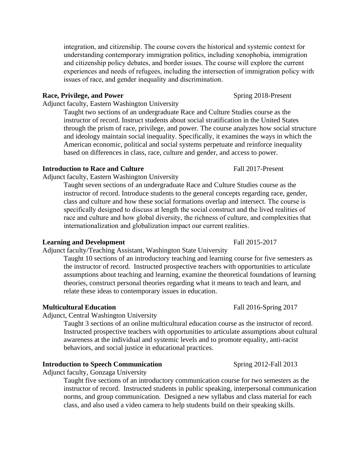instructor of record. Instruct students about social stratification in the United States through the prism of race, privilege, and power. The course analyzes how social structure and ideology maintain social inequality. Specifically, it examines the ways in which the American economic, political and social systems perpetuate and reinforce inequality based on differences in class, race, culture and gender, and access to power.

integration, and citizenship. The course covers the historical and systemic context for understanding contemporary immigration politics, including xenophobia, immigration and citizenship policy debates, and border issues. The course will explore the current experiences and needs of refugees, including the intersection of immigration policy with

Taught two sections of an undergraduate Race and Culture Studies course as the

#### **Introduction to Race and Culture** Fall 2017-Present

Adjunct faculty, Eastern Washington University

Adjunct faculty, Eastern Washington University

Taught seven sections of an undergraduate Race and Culture Studies course as the instructor of record. Introduce students to the general concepts regarding race, gender, class and culture and how these social formations overlap and intersect. The course is specifically designed to discuss at length the social construct and the lived realities of race and culture and how global diversity, the richness of culture, and complexities that internationalization and globalization impact our current realities.

#### **Learning and Development** Fall 2015-2017

Adjunct faculty/Teaching Assistant, Washington State University

issues of race, and gender inequality and discrimination.

Taught 10 sections of an introductory teaching and learning course for five semesters as the instructor of record. Instructed prospective teachers with opportunities to articulate assumptions about teaching and learning, examine the theoretical foundations of learning theories, construct personal theories regarding what it means to teach and learn, and relate these ideas to contemporary issues in education.

#### **Multicultural Education** Fall 2016-Spring 2017

Adjunct, Central Washington University

Taught 3 sections of an online multicultural education course as the instructor of record. Instructed prospective teachers with opportunities to articulate assumptions about cultural awareness at the individual and systemic levels and to promote equality, anti-racist behaviors, and social justice in educational practices.

#### **Introduction to Speech Communication** Spring 2012-Fall 2013

Adjunct faculty, Gonzaga University

Taught five sections of an introductory communication course for two semesters as the instructor of record. Instructed students in public speaking, interpersonal communication norms, and group communication. Designed a new syllabus and class material for each class, and also used a video camera to help students build on their speaking skills.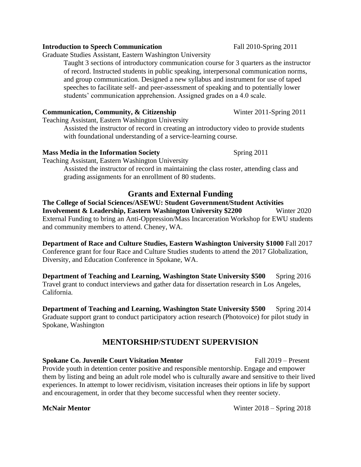# Graduate Studies Assistant, Eastern Washington University

Taught 3 sections of introductory communication course for 3 quarters as the instructor of record. Instructed students in public speaking, interpersonal communication norms, and group communication. Designed a new syllabus and instrument for use of taped speeches to facilitate self- and peer-assessment of speaking and to potentially lower students' communication apprehension. Assigned grades on a 4.0 scale.

## **Communication, Community, & Citizenship** Winter 2011-Spring 2011

Teaching Assistant, Eastern Washington University

Assisted the instructor of record in creating an introductory video to provide students with foundational understanding of a service-learning course.

## **Mass Media in the Information Society** Spring 2011

Teaching Assistant, Eastern Washington University

Assisted the instructor of record in maintaining the class roster, attending class and grading assignments for an enrollment of 80 students.

# **Grants and External Funding**

**The College of Social Sciences/ASEWU: Student Government/Student Activities Involvement & Leadership, Eastern Washington University \$2200 Winter 2020** External Funding to bring an Anti-Oppression/Mass Incarceration Workshop for EWU students and community members to attend. Cheney, WA.

**Department of Race and Culture Studies, Eastern Washington University \$1000** Fall 2017 Conference grant for four Race and Culture Studies students to attend the 2017 Globalization, Diversity, and Education Conference in Spokane, WA.

**Department of Teaching and Learning, Washington State University \$500** Spring 2016 Travel grant to conduct interviews and gather data for dissertation research in Los Angeles, California.

**Department of Teaching and Learning, Washington State University \$500** Spring 2014 Graduate support grant to conduct participatory action research (Photovoice) for pilot study in Spokane, Washington

# **MENTORSHIP/STUDENT SUPERVISION**

**Spokane Co. Juvenile Court Visitation Mentor** Fall 2019 – Present

Provide youth in detention center positive and responsible mentorship. Engage and empower them by listing and being an adult role model who is culturally aware and sensitive to their lived experiences. In attempt to lower recidivism, visitation increases their options in life by support and encouragement, in order that they become successful when they reenter society.

**McNair Mentor** Winter 2018 – Spring 2018

#### **Introduction to Speech Communication** Fall 2010-Spring 2011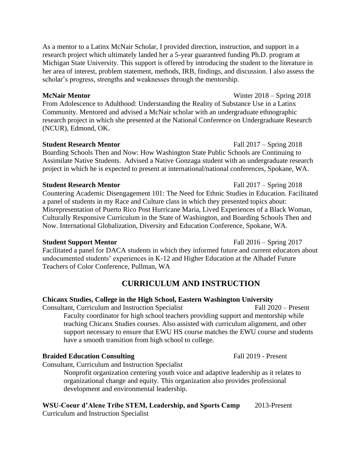As a mentor to a Latinx McNair Scholar, I provided direction, instruction, and support in a research project which ultimately landed her a 5-year guaranteed funding Ph.D. program at Michigan State University. This support is offered by introducing the student to the literature in her area of interest, problem statement, methods, IRB, findings, and discussion. I also assess the scholar's progress, strengths and weaknesses through the mentorship.

#### **McNair Mentor** Winter 2018 – Spring 2018

From Adolescence to Adulthood: Understanding the Reality of Substance Use in a Latinx Community. Mentored and advised a McNair scholar with an undergraduate ethnographic research project in which she presented at the National Conference on Undergraduate Research (NCUR), Edmond, OK.

## **Student Research Mentor** Fall 2017 – Spring 2018

Boarding Schools Then and Now: How Washington State Public Schools are Continuing to Assimilate Native Students. Advised a Native Gonzaga student with an undergraduate research project in which he is expected to present at international/national conferences, Spokane, WA.

## **Student Research Mentor** Fall 2017 – Spring 2018

Countering Academic Disengagement 101: The Need for Ethnic Studies in Education. Facilitated a panel of students in my Race and Culture class in which they presented topics about: Misrepresentation of Puerto Rico Post Hurricane Maria, Lived Experiences of a Black Woman, Culturally Responsive Curriculum in the State of Washington, and Boarding Schools Then and Now. International Globalization, Diversity and Education Conference, Spokane, WA.

## **Student Support Mentor** Fall 2016 – Spring 2017

Facilitated a panel for DACA students in which they informed future and current educators about undocumented students' experiences in K-12 and Higher Education at the Alhadef Future Teachers of Color Conference, Pullman, WA

# **CURRICULUM AND INSTRUCTION**

## **Chicanx Studies, College in the High School, Eastern Washington University**

Consultant, Curriculum and Instruction Specialist Fall 2020 – Present Faculty coordinator for high school teachers providing support and mentorship while teaching Chicanx Studies courses. Also assisted with curriculum alignment, and other support necessary to ensure that EWU HS course matches the EWU course and students have a smooth transition from high school to college.

## **Braided Education Consulting Fall 2019 - Present**

Consultant, Curriculum and Instruction Specialist

Nonprofit organization centering youth voice and adaptive leadership as it relates to organizational change and equity. This organization also provides professional development and environmental leadership.

**WSU-Coeur d'Alene Tribe STEM, Leadership, and Sports Camp** 2013-Present

Curriculum and Instruction Specialist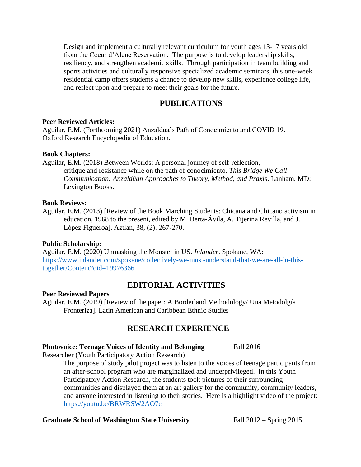Design and implement a culturally relevant curriculum for youth ages 13-17 years old from the Coeur d'Alene Reservation. The purpose is to develop leadership skills, resiliency, and strengthen academic skills. Through participation in team building and sports activities and culturally responsive specialized academic seminars, this one-week residential camp offers students a chance to develop new skills, experience college life, and reflect upon and prepare to meet their goals for the future.

## **PUBLICATIONS**

#### **Peer Reviewed Articles:**

Aguilar, E.M. (Forthcoming 2021) Anzaldua's Path of Conocimiento and COVID 19. Oxford Research Encyclopedia of Education.

#### **Book Chapters:**

Aguilar, E.M. (2018) Between Worlds: A personal journey of self-reflection, critique and resistance while on the path of conocimiento. *This Bridge We Call Communication: Anzaldúan Approaches to Theory, Method, and Praxis*. Lanham, MD: Lexington Books.

#### **Book Reviews:**

Aguilar, E.M. (2013) [Review of the Book Marching Students: Chicana and Chicano activism in education, 1968 to the present, edited by M. Berta-Ávila, A. Tijerina Revilla, and J. López Figueroa]. Aztlan, 38, (2). 267-270.

#### **Public Scholarship:**

Aguilar, E.M. (2020) Unmasking the Monster in US. *Inlander*. Spokane, WA: [https://www.inlander.com/spokane/collectively-we-must-understand-that-we-are-all-in-this](https://www.inlander.com/spokane/collectively-we-must-understand-that-we-are-all-in-this-together/Content?oid=19976366)[together/Content?oid=19976366](https://www.inlander.com/spokane/collectively-we-must-understand-that-we-are-all-in-this-together/Content?oid=19976366)

#### **EDITORIAL ACTIVITIES**

#### **Peer Reviewed Papers**

Aguilar, E.M. (2019) [Review of the paper: A Borderland Methodology/ Una Metodolgía Fronteriza]. Latin American and Caribbean Ethnic Studies

## **RESEARCH EXPERIENCE**

#### **Photovoice: Teenage Voices of Identity and Belonging Fall 2016**

Researcher (Youth Participatory Action Research)

The purpose of study pilot project was to listen to the voices of teenage participants from an after-school program who are marginalized and underprivileged. In this Youth Participatory Action Research, the students took pictures of their surrounding communities and displayed them at an art gallery for the community, community leaders, and anyone interested in listening to their stories. Here is a highlight video of the project: <https://youtu.be/BRWRSW2AO7c>

#### **Graduate School of Washington State University** Fall 2012 – Spring 2015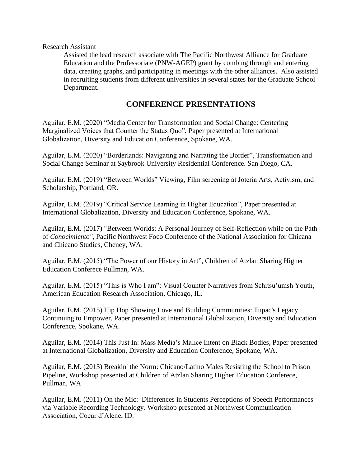#### Research Assistant

Assisted the lead research associate with The Pacific Northwest Alliance for Graduate Education and the Professoriate (PNW-AGEP) grant by combing through and entering data, creating graphs, and participating in meetings with the other alliances. Also assisted in recruiting students from different universities in several states for the Graduate School Department.

### **CONFERENCE PRESENTATIONS**

Aguilar, E.M. (2020) "Media Center for Transformation and Social Change: Centering Marginalized Voices that Counter the Status Quo", Paper presented at International Globalization, Diversity and Education Conference, Spokane, WA.

Aguilar, E.M. (2020) "Borderlands: Navigating and Narrating the Border", Transformation and Social Change Seminar at Saybrook University Residential Conference. San Diego, CA.

Aguilar, E.M. (2019) "Between Worlds" Viewing, Film screening at Jotería Arts, Activism, and Scholarship, Portland, OR.

Aguilar, E.M. (2019) "Critical Service Learning in Higher Education", Paper presented at International Globalization, Diversity and Education Conference, Spokane, WA.

Aguilar, E.M. (2017) "Between Worlds: A Personal Journey of Self-Reflection while on the Path of *Conocimiento"*, Pacific Northwest Foco Conference of the National Association for Chicana and Chicano Studies, Cheney, WA.

Aguilar, E.M. (2015) "The Power of our History in Art", Children of Atzlan Sharing Higher Education Conferece Pullman, WA.

Aguilar, E.M. (2015) "This is Who I am": Visual Counter Narratives from Schitsu'umsh Youth, American Education Research Association, Chicago, IL.

Aguilar, E.M. (2015) Hip Hop Showing Love and Building Communities: Tupac's Legacy Continuing to Empower. Paper presented at International Globalization, Diversity and Education Conference, Spokane, WA.

Aguilar, E.M. (2014) This Just In: Mass Media's Malice Intent on Black Bodies, Paper presented at International Globalization, Diversity and Education Conference, Spokane, WA.

Aguilar, E.M. (2013) Breakin' the Norm: Chicano/Latino Males Resisting the School to Prison Pipeline, Workshop presented at Children of Atzlan Sharing Higher Education Conferece, Pullman, WA

Aguilar, E.M. (2011) On the Mic: Differences in Students Perceptions of Speech Performances via Variable Recording Technology. Workshop presented at Northwest Communication Association, Coeur d'Alene, ID.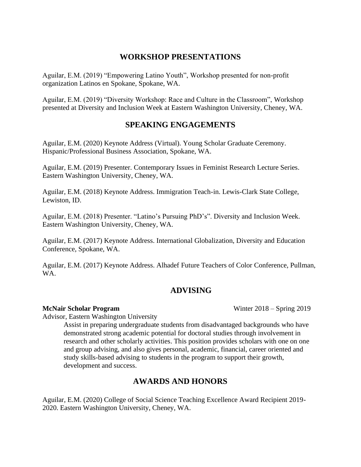## **WORKSHOP PRESENTATIONS**

Aguilar, E.M. (2019) "Empowering Latino Youth", Workshop presented for non-profit organization Latinos en Spokane, Spokane, WA.

Aguilar, E.M. (2019) "Diversity Workshop: Race and Culture in the Classroom", Workshop presented at Diversity and Inclusion Week at Eastern Washington University, Cheney, WA.

## **SPEAKING ENGAGEMENTS**

Aguilar, E.M. (2020) Keynote Address (Virtual). Young Scholar Graduate Ceremony. Hispanic/Professional Business Association, Spokane, WA.

Aguilar, E.M. (2019) Presenter. Contemporary Issues in Feminist Research Lecture Series. Eastern Washington University, Cheney, WA.

Aguilar, E.M. (2018) Keynote Address. Immigration Teach-in. Lewis-Clark State College, Lewiston, ID.

Aguilar, E.M. (2018) Presenter. "Latino's Pursuing PhD's". Diversity and Inclusion Week. Eastern Washington University, Cheney, WA.

Aguilar, E.M. (2017) Keynote Address. International Globalization, Diversity and Education Conference, Spokane, WA.

Aguilar, E.M. (2017) Keynote Address. Alhadef Future Teachers of Color Conference, Pullman, WA.

## **ADVISING**

**McNair Scholar Program** Winter 2018 – Spring 2019

Advisor, Eastern Washington University

Assist in preparing undergraduate students from disadvantaged backgrounds who have demonstrated strong academic potential for doctoral studies through involvement in research and other scholarly activities. This position provides scholars with one on one and group advising, and also gives personal, academic, financial, career oriented and study skills-based advising to students in the program to support their growth, development and success.

## **AWARDS AND HONORS**

Aguilar, E.M. (2020) College of Social Science Teaching Excellence Award Recipient 2019- 2020. Eastern Washington University, Cheney, WA.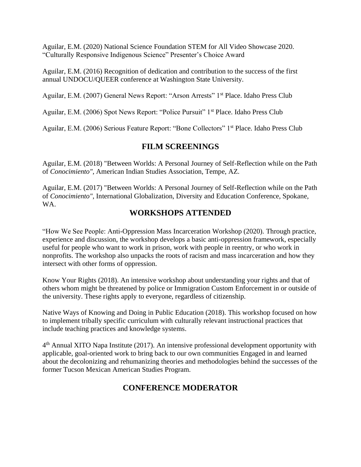Aguilar, E.M. (2020) National Science Foundation STEM for All Video Showcase 2020. "Culturally Responsive Indigenous Science" Presenter's Choice Award

Aguilar, E.M. (2016) Recognition of dedication and contribution to the success of the first annual UNDOCU/QUEER conference at Washington State University.

Aguilar, E.M. (2007) General News Report: "Arson Arrests" 1st Place. Idaho Press Club

Aguilar, E.M. (2006) Spot News Report: "Police Pursuit" 1<sup>st</sup> Place. Idaho Press Club

Aguilar, E.M. (2006) Serious Feature Report: "Bone Collectors" 1st Place. Idaho Press Club

### **FILM SCREENINGS**

Aguilar, E.M. (2018) "Between Worlds: A Personal Journey of Self-Reflection while on the Path of *Conocimiento"*, American Indian Studies Association, Tempe, AZ.

Aguilar, E.M. (2017) "Between Worlds: A Personal Journey of Self-Reflection while on the Path of *Conocimiento"*, International Globalization, Diversity and Education Conference, Spokane, WA.

### **WORKSHOPS ATTENDED**

"How We See People: Anti-Oppression Mass Incarceration Workshop (2020). Through practice, experience and discussion, the workshop develops a basic anti-oppression framework, especially useful for people who want to work in prison, work with people in reentry, or who work in nonprofits. The workshop also unpacks the roots of racism and mass incarceration and how they intersect with other forms of oppression.

Know Your Rights (2018). An intensive workshop about understanding your rights and that of others whom might be threatened by police or Immigration Custom Enforcement in or outside of the university. These rights apply to everyone, regardless of citizenship.

Native Ways of Knowing and Doing in Public Education (2018). This workshop focused on how to implement tribally specific curriculum with culturally relevant instructional practices that include teaching practices and knowledge systems.

4<sup>th</sup> Annual XITO Napa Institute (2017). An intensive professional development opportunity with applicable, goal-oriented work to bring back to our own communities Engaged in and learned about the decolonizing and rehumanizing theories and methodologies behind the successes of the former Tucson Mexican American Studies Program.

## **CONFERENCE MODERATOR**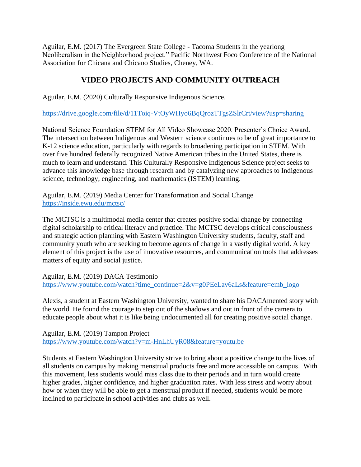Aguilar, E.M. (2017) The Evergreen State College - Tacoma Students in the yearlong Neoliberalism in the Neighborhood project." Pacific Northwest Foco Conference of the National Association for Chicana and Chicano Studies, Cheney, WA.

## **VIDEO PROJECTS AND COMMUNITY OUTREACH**

Aguilar, E.M. (2020) Culturally Responsive Indigenous Science.

https://drive.google.com/file/d/11Toiq-VtOyWHyo6BqQrozTTgsZSlrCrt/view?usp=sharing

National Science Foundation STEM for All Video Showcase 2020. Presenter's Choice Award. The intersection between Indigenous and Western science continues to be of great importance to K-12 science education, particularly with regards to broadening participation in STEM. With over five hundred federally recognized Native American tribes in the United States, there is much to learn and understand. This Culturally Responsive Indigenous Science project seeks to advance this knowledge base through research and by catalyzing new approaches to Indigenous science, technology, engineering, and mathematics (ISTEM) learning.

Aguilar, E.M. (2019) Media Center for Transformation and Social Change <https://inside.ewu.edu/mctsc/>

The MCTSC is a multimodal media center that creates positive social change by connecting digital scholarship to critical literacy and practice. The MCTSC develops critical consciousness and strategic action planning with Eastern Washington University students, faculty, staff and community youth who are seeking to become agents of change in a vastly digital world. A key element of this project is the use of innovative resources, and communication tools that addresses matters of equity and social justice.

Aguilar, E.M. (2019) DACA Testimonio [https://www.youtube.com/watch?time\\_continue=2&v=g0PEeLav6aLs&feature=emb\\_logo](https://www.youtube.com/watch?time_continue=2&v=g0PEeLav6aLs&feature=emb_logo)

Alexis, a student at Eastern Washington University, wanted to share his DACAmented story with the world. He found the courage to step out of the shadows and out in front of the camera to educate people about what it is like being undocumented all for creating positive social change.

Aguilar, E.M. (2019) Tampon Project <https://www.youtube.com/watch?v=m-HnLhUyR08&feature=youtu.be>

Students at Eastern Washington University strive to bring about a positive change to the lives of all students on campus by making menstrual products free and more accessible on campus. With this movement, less students would miss class due to their periods and in turn would create higher grades, higher confidence, and higher graduation rates. With less stress and worry about how or when they will be able to get a menstrual product if needed, students would be more inclined to participate in school activities and clubs as well.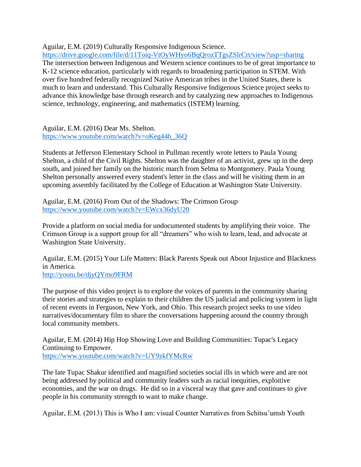Aguilar, E.M. (2019) Culturally Responsive Indigenous Science.

<https://drive.google.com/file/d/11Toiq-VtOyWHyo6BqQrozTTgsZSlrCrt/view?usp=sharing> The intersection between Indigenous and Western science continues to be of great importance to K-12 science education, particularly with regards to broadening participation in STEM. With over five hundred federally recognized Native American tribes in the United States, there is much to learn and understand. This Culturally Responsive Indigenous Science project seeks to advance this knowledge base through research and by catalyzing new approaches to Indigenous science, technology, engineering, and mathematics (ISTEM) learning.

Aguilar, E.M. (2016) Dear Ms. Shelton. [https://www.youtube.com/watch?v=oKeg44b\\_36Q](https://www.youtube.com/watch?v=oKeg44b_36Q)

Students at Jefferson Elementary School in Pullman recently wrote letters to Paula Young Shelton, a child of the Civil Rights. Shelton was the daughter of an activist, grew up in the deep south, and joined her family on the historic march from Selma to Montgomery. Paula Young Shelton personally answered every student's letter in the class and will be visiting them in an upcoming assembly facilitated by the College of Education at Washington State University.

Aguilar, E.M. (2016) From Out of the Shadows: The Crimson Group <https://www.youtube.com/watch?v=EWcx36dyU20>

Provide a platform on social media for undocumented students by amplifying their voice. The Crimson Group is a support group for all "dreamers" who wish to learn, lead, and advocate at Washington State University.

Aguilar, E.M. (2015) Your Life Matters: Black Parents Speak out About Injustice and Blackness in America. <http://youtu.be/djyQYmo9FRM>

The purpose of this video project is to explore the voices of parents in the community sharing their stories and strategies to explain to their children the US judicial and policing system in light of recent events in Ferguson, New York, and Ohio. This research project seeks to use video narratives/documentary film to share the conversations happening around the country through local community members.

Aguilar, E.M. (2014) Hip Hop Showing Love and Building Communities: Tupac's Legacy Continuing to Empower. <https://www.youtube.com/watch?v=UY9zkfYMcRw>

The late Tupac Shakur identified and magnified societies social ills in which were and are not being addressed by political and community leaders such as racial inequities, exploitive economies, and the war on drugs. He did so in a visceral way that gave and continues to give people in his community strength to want to make change.

Aguilar, E.M. (2013) This is Who I am: visual Counter Narratives from Schitsu'umsh Youth